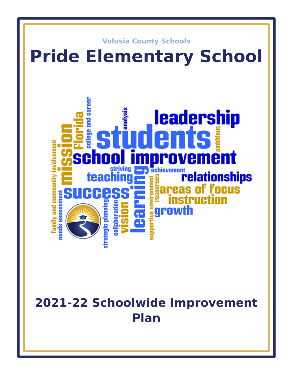

# **2021-22 Schoolwide Improvement Plan**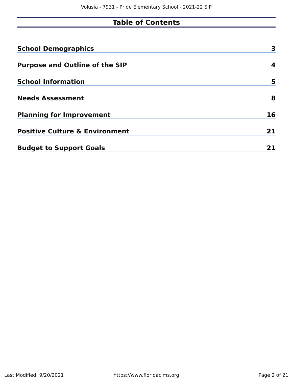# **Table of Contents**

| <b>School Demographics</b>                | 3  |
|-------------------------------------------|----|
| <b>Purpose and Outline of the SIP</b>     | 4  |
| <b>School Information</b>                 | 5  |
| <b>Needs Assessment</b>                   | 8  |
| <b>Planning for Improvement</b>           | 16 |
| <b>Positive Culture &amp; Environment</b> | 21 |
| <b>Budget to Support Goals</b>            |    |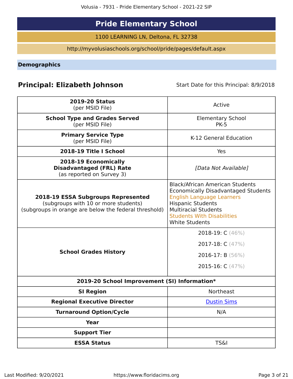# **Pride Elementary School**

1100 LEARNING LN, Deltona, FL 32738

http://myvolusiaschools.org/school/pride/pages/default.aspx

<span id="page-2-0"></span>**Demographics**

# **Principal: Elizabeth Johnson** Start Date for this Principal: 8/9/2018

| <b>2019-20 Status</b><br>(per MSID File)                                                                                                   | Active                                                                                                                                                                                                                                            |
|--------------------------------------------------------------------------------------------------------------------------------------------|---------------------------------------------------------------------------------------------------------------------------------------------------------------------------------------------------------------------------------------------------|
| <b>School Type and Grades Served</b><br>(per MSID File)                                                                                    | <b>Elementary School</b><br><b>PK-5</b>                                                                                                                                                                                                           |
| <b>Primary Service Type</b><br>(per MSID File)                                                                                             | K-12 General Education                                                                                                                                                                                                                            |
| 2018-19 Title I School                                                                                                                     | Yes                                                                                                                                                                                                                                               |
| 2018-19 Economically<br><b>Disadvantaged (FRL) Rate</b><br>(as reported on Survey 3)                                                       | [Data Not Available]                                                                                                                                                                                                                              |
| <b>2018-19 ESSA Subgroups Represented</b><br>(subgroups with 10 or more students)<br>(subgroups in orange are below the federal threshold) | <b>Black/African American Students</b><br><b>Economically Disadvantaged Students</b><br><b>English Language Learners</b><br><b>Hispanic Students</b><br><b>Multiracial Students</b><br><b>Students With Disabilities</b><br><b>White Students</b> |
| <b>School Grades History</b>                                                                                                               | 2018-19: C (46%)<br>2017-18: $C(47%)$<br>2016-17: B $(56\%)$<br>2015-16: $C(47%)$                                                                                                                                                                 |
| 2019-20 School Improvement (SI) Information*                                                                                               |                                                                                                                                                                                                                                                   |
| <b>SI Region</b>                                                                                                                           | <b>Northeast</b>                                                                                                                                                                                                                                  |
| <b>Regional Executive Director</b>                                                                                                         | <b>Dustin Sims</b>                                                                                                                                                                                                                                |
| <b>Turnaround Option/Cycle</b>                                                                                                             | N/A                                                                                                                                                                                                                                               |
| <b>Year</b>                                                                                                                                |                                                                                                                                                                                                                                                   |
| <b>Support Tier</b>                                                                                                                        |                                                                                                                                                                                                                                                   |
| <b>ESSA Status</b>                                                                                                                         | <b>TS&amp;I</b>                                                                                                                                                                                                                                   |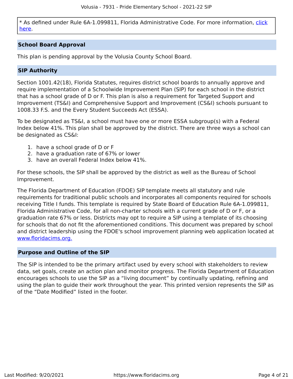\* As defined under Rule 6A-1.099811, Florida Administrative Code. For more information, [click](/downloads?category=da-forms) [here](/downloads?category=da-forms).

#### **School Board Approval**

This plan is pending approval by the Volusia County School Board.

#### **SIP Authority**

Section 1001.42(18), Florida Statutes, requires district school boards to annually approve and require implementation of a Schoolwide Improvement Plan (SIP) for each school in the district that has a school grade of D or F. This plan is also a requirement for Targeted Support and Improvement (TS&I) and Comprehensive Support and Improvement (CS&I) schools pursuant to 1008.33 F.S. and the Every Student Succeeds Act (ESSA).

To be designated as TS&I, a school must have one or more ESSA subgroup(s) with a Federal Index below 41%. This plan shall be approved by the district. There are three ways a school can be designated as CS&I:

- 1. have a school grade of D or F
- 2. have a graduation rate of 67% or lower
- 3. have an overall Federal Index below 41%.

For these schools, the SIP shall be approved by the district as well as the Bureau of School Improvement.

The Florida Department of Education (FDOE) SIP template meets all statutory and rule requirements for traditional public schools and incorporates all components required for schools receiving Title I funds. This template is required by State Board of Education Rule 6A-1.099811, Florida Administrative Code, for all non-charter schools with a current grade of D or F, or a graduation rate 67% or less. Districts may opt to require a SIP using a template of its choosing for schools that do not fit the aforementioned conditions. This document was prepared by school and district leadership using the FDOE's school improvement planning web application located at [www.floridacims.org.](https://www.floridacims.org)

#### <span id="page-3-0"></span>**Purpose and Outline of the SIP**

The SIP is intended to be the primary artifact used by every school with stakeholders to review data, set goals, create an action plan and monitor progress. The Florida Department of Education encourages schools to use the SIP as a "living document" by continually updating, refining and using the plan to guide their work throughout the year. This printed version represents the SIP as of the "Date Modified" listed in the footer.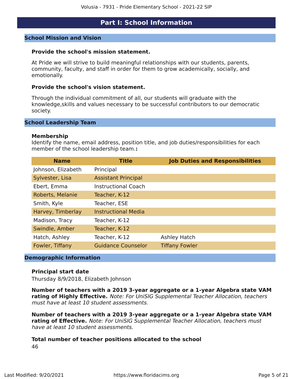# **Part I: School Information**

#### <span id="page-4-0"></span>**School Mission and Vision**

#### **Provide the school's mission statement.**

At Pride we will strive to build meaningful relationships with our students, parents, community, faculty, and staff in order for them to grow academically, socially, and emotionally.

#### **Provide the school's vision statement.**

Through the individual commitment of all, our students will graduate with the knowledge,skills and values necessary to be successful contributors to our democratic society.

#### **School Leadership Team**

#### **Membership**

Identify the name, email address, position title, and job duties/responsibilities for each member of the school leadership team.**:**

| <b>Name</b>        | <b>Title</b>               | <b>Job Duties and Responsibilities</b> |
|--------------------|----------------------------|----------------------------------------|
| Johnson, Elizabeth | Principal                  |                                        |
| Sylvester, Lisa    | <b>Assistant Principal</b> |                                        |
| Ebert, Emma        | <b>Instructional Coach</b> |                                        |
| Roberts, Melanie   | Teacher, K-12              |                                        |
| Smith, Kyle        | Teacher, ESE               |                                        |
| Harvey, Timberlay  | <b>Instructional Media</b> |                                        |
| Madison, Tracy     | Teacher, K-12              |                                        |
| Swindle, Amber     | Teacher, K-12              |                                        |
| Hatch, Ashley      | Teacher, K-12              | Ashley Hatch                           |
| Fowler, Tiffany    | <b>Guidance Counselor</b>  | <b>Tiffany Fowler</b>                  |
|                    |                            |                                        |

#### **Demographic Information**

#### **Principal start date**

Thursday 8/9/2018, Elizabeth Johnson

**Number of teachers with a 2019 3-year aggregate or a 1-year Algebra state VAM rating of Highly Effective.** Note: For UniSIG Supplemental Teacher Allocation, teachers must have at least 10 student assessments.

**Number of teachers with a 2019 3-year aggregate or a 1-year Algebra state VAM rating of Effective.** Note: For UniSIG Supplemental Teacher Allocation, teachers must have at least 10 student assessments.

#### **Total number of teacher positions allocated to the school** 46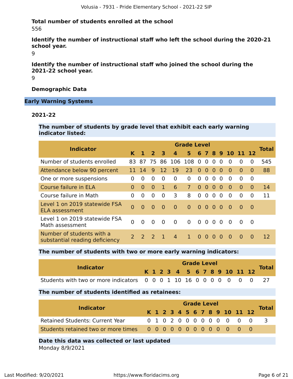#### **Total number of students enrolled at the school** 556

**Identify the number of instructional staff who left the school during the 2020-21 school year.**

9

**Identify the number of instructional staff who joined the school during the 2021-22 school year.**

9

#### **Demographic Data**

#### **Early Warning Systems**

#### **2021-22**

**The number of students by grade level that exhibit each early warning indicator listed:**

| <b>Indicator</b>                                            |                |               |                |           |                  | <b>Grade Level</b>        |                |                   |          |          |          |                  |          |              |
|-------------------------------------------------------------|----------------|---------------|----------------|-----------|------------------|---------------------------|----------------|-------------------|----------|----------|----------|------------------|----------|--------------|
|                                                             | K              |               | $\overline{2}$ | 43        | $\boldsymbol{4}$ | 5 <sup>1</sup>            |                |                   |          |          |          | 6 7 8 9 10 11 12 |          | <b>Total</b> |
| Number of students enrolled                                 |                |               |                |           |                  | 83 87 75 86 106 108 0 0 0 |                |                   |          | $\Omega$ | $\Omega$ | $\Omega$         | 0        | 545          |
| Attendance below 90 percent                                 |                | 11 14         | 9              | <b>12</b> | 19               | 23                        |                | $0\quad 0\quad 0$ |          | - 0      | $\Omega$ | $\Omega$         | $\Omega$ | 88           |
| One or more suspensions                                     | 0              | $\Omega$      | 0              | $\Omega$  | $\Omega$         | $\overline{0}$            | $\Omega$       | $\overline{0}$    | $\Omega$ | $\Omega$ | $\Omega$ | $\Omega$         | $\Omega$ |              |
| Course failure in ELA                                       | 0              | $\Omega$      | $\Omega$       | 1         | 6                | $\overline{7}$            | $\Omega$       | $\overline{0}$    | $\Omega$ | 0        | $\Omega$ | $\Omega$         | $\Omega$ | 14           |
| Course failure in Math                                      | 0              | $\Omega$      | 0              | $\Omega$  | 3                | 8                         | $\Omega$       | $\overline{0}$    | $\Omega$ | 0        | $\Omega$ | $\Omega$         | 0        | 11           |
| Level 1 on 2019 statewide FSA<br><b>ELA assessment</b>      | $\Omega$       | $\Omega$      | $\Omega$       | $\Omega$  | $\Omega$         | $\overline{0}$            | $\overline{0}$ | -0                | $\Omega$ | $\Omega$ | $\Omega$ | $\Omega$         | 0        |              |
| Level 1 on 2019 statewide FSA<br>Math assessment            | $\overline{0}$ | $\Omega$      | $\Omega$       | $\Omega$  | $\overline{0}$   | $\Omega$                  |                | $0\quad 0$        | $\Omega$ | $\Omega$ | $\Omega$ | $\Omega$         | $\Omega$ |              |
| Number of students with a<br>substantial reading deficiency | 2 <sup>7</sup> | $\mathcal{P}$ | $\mathcal{L}$  |           | 4                | 1.                        | $\Omega$       | - 0               | $\Omega$ | $\Omega$ | $\Omega$ | $\Omega$         | $\Omega$ | 12           |

#### **The number of students with two or more early warning indicators:**

| <b>Indicator</b>                                                    |  |  | <b>Grade Level</b> |  |  |  |                              |              |
|---------------------------------------------------------------------|--|--|--------------------|--|--|--|------------------------------|--------------|
|                                                                     |  |  |                    |  |  |  | K 1 2 3 4 5 6 7 8 9 10 11 12 | <b>Total</b> |
| Students with two or more indicators 0 0 0 1 10 16 0 0 0 0 0 0 0 27 |  |  |                    |  |  |  |                              |              |

#### **The number of students identified as retainees:**

| <b>Indicator</b>                       | <b>Grade Level</b> |  |  |  |  |  |  |  |  |  |  |                              |  |              |  |
|----------------------------------------|--------------------|--|--|--|--|--|--|--|--|--|--|------------------------------|--|--------------|--|
|                                        |                    |  |  |  |  |  |  |  |  |  |  | K 1 2 3 4 5 6 7 8 9 10 11 12 |  | <b>Total</b> |  |
| <b>Retained Students: Current Year</b> |                    |  |  |  |  |  |  |  |  |  |  | 0 1 0 2 0 0 0 0 0 0 0 0 0    |  |              |  |
|                                        |                    |  |  |  |  |  |  |  |  |  |  |                              |  |              |  |
|                                        |                    |  |  |  |  |  |  |  |  |  |  |                              |  |              |  |

#### **Date this data was collected or last updated**

Monday 8/9/2021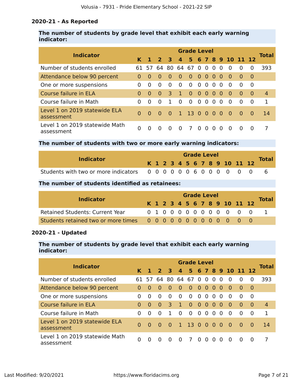#### **2020-21 - As Reported**

### **The number of students by grade level that exhibit each early warning indicator:**

|                                              | <b>Grade Level</b> |          |                         |          |                |                |                   |           |          |          |                    |          |          |                |  |
|----------------------------------------------|--------------------|----------|-------------------------|----------|----------------|----------------|-------------------|-----------|----------|----------|--------------------|----------|----------|----------------|--|
| <b>Indicator</b>                             |                    |          | 2 <sup>3</sup>          |          | $\overline{4}$ |                |                   |           |          |          | 5 6 7 8 9 10 11 12 |          |          | <b>Total</b>   |  |
| Number of students enrolled                  |                    |          | 61 57 64 80 64 67 0 0 0 |          |                |                |                   |           |          | $\Omega$ | $\Omega$           | $\Omega$ | $\Omega$ | 393            |  |
| Attendance below 90 percent                  | 0                  | $\Omega$ | $\Omega$                | $\Omega$ | 0              | $\Omega$       | $\Omega$          | $\bullet$ | - 0      | 0        | $\Omega$           | $\Omega$ | - 0      |                |  |
| One or more suspensions                      | 0                  | $\Omega$ | $\Omega$                | $\Omega$ | $\Omega$       | $\Omega$       | $\Omega$          | $\Omega$  | $\Omega$ | $\Omega$ | $\Omega$           | $\Omega$ | $\Omega$ |                |  |
| Course failure in ELA                        | $\Omega$           | $\Omega$ | 0                       | 3        | $\mathbf{1}$   | $\Omega$       | $0\quad 0\quad 0$ |           |          | $\Omega$ | $\Omega$           | $\Omega$ | $\Omega$ | $\overline{4}$ |  |
| Course failure in Math                       | 0                  | $\Omega$ | $\Omega$                | 1        | $\Omega$       | $\Omega$       | $\Omega$          | $\Omega$  | $\Omega$ | $\Omega$ | $\Omega$           | $\Omega$ | $\Omega$ | 1              |  |
| Level 1 on 2019 statewide ELA<br>assessment  | $\Omega$           | $\Omega$ | - 0                     | - 0      |                | 1 13 0 0 0 0   |                   |           |          |          | $\blacksquare$     | - റ      | - 0      | 14             |  |
| Level 1 on 2019 statewide Math<br>assessment | 0                  |          |                         |          | $\Omega$       | $\overline{7}$ | $\Omega$          | $\Omega$  | $\Omega$ | $\Omega$ | $\Omega$           | $\Omega$ | $\Omega$ |                |  |

#### **The number of students with two or more early warning indicators:**

| <b>Indicator</b> |  |  |  | <b>Grade Level</b> |  |  |                              | <b>Total</b> |
|------------------|--|--|--|--------------------|--|--|------------------------------|--------------|
|                  |  |  |  |                    |  |  | K 1 2 3 4 5 6 7 8 9 10 11 12 |              |
|                  |  |  |  |                    |  |  |                              |              |

#### **The number of students identified as retainees:**

| <b>Indicator</b>                       | <b>Grade Level</b> |  |  |  |  |  |  |  |  |  |  |                              |  |              |  |
|----------------------------------------|--------------------|--|--|--|--|--|--|--|--|--|--|------------------------------|--|--------------|--|
|                                        |                    |  |  |  |  |  |  |  |  |  |  | K 1 2 3 4 5 6 7 8 9 10 11 12 |  | <b>Total</b> |  |
| <b>Retained Students: Current Year</b> |                    |  |  |  |  |  |  |  |  |  |  | 0 1 0 0 0 0 0 0 0 0 0 0      |  |              |  |
|                                        |                    |  |  |  |  |  |  |  |  |  |  |                              |  |              |  |

# **2020-21 - Updated**

#### **The number of students by grade level that exhibit each early warning indicator:**

|                                              | <b>Grade Level</b> |          |                         |           |                |                |          |          |          |          |                      |          |          |                |  |
|----------------------------------------------|--------------------|----------|-------------------------|-----------|----------------|----------------|----------|----------|----------|----------|----------------------|----------|----------|----------------|--|
| <b>Indicator</b>                             |                    |          | $2 \overline{3}$        |           |                |                |          |          |          |          | 4 5 6 7 8 9 10 11 12 |          |          | Total          |  |
| Number of students enrolled                  |                    |          | 61 57 64 80 64 67 0 0 0 |           |                |                |          |          |          | $\Omega$ | $\Omega$             | $\Omega$ | $\Omega$ | 393            |  |
| Attendance below 90 percent                  | 0                  | $\Omega$ | $\Omega$                | $\Omega$  | $\Omega$       | $\Omega$       | $\Omega$ | $\Omega$ | $\Omega$ | - 0      | - 0                  | $\Omega$ | - 0      |                |  |
| One or more suspensions                      | 0                  | $\Omega$ | $\Omega$                | $\Omega$  | $\Omega$       | $\Omega$       | $\Omega$ | $\Omega$ | $\Omega$ | $\Omega$ | $\Omega$             | $\Omega$ | $\Omega$ |                |  |
| Course failure in ELA                        | $\Omega$           | $\Omega$ | $\Omega$                | 3         | $\overline{1}$ | $\Omega$       | $\Omega$ | - 0      | $\Omega$ | $\Omega$ | $\Omega$             | $\Omega$ | $\Omega$ | $\overline{4}$ |  |
| Course failure in Math                       | 0                  | $\Omega$ | $\Omega$                |           | $\Omega$       | $\Omega$       | $\Omega$ | $\Omega$ | $\Omega$ | $\Omega$ | $\Omega$             | $\Omega$ | $\Omega$ | 1              |  |
| Level 1 on 2019 statewide ELA<br>assessment  | $\Omega$           | $\Omega$ | $\Omega$                | $\bullet$ |                | $1$ 13 0 0 0 0 |          |          |          |          | - 0                  | <b>0</b> | - 0      | 14             |  |
| Level 1 on 2019 statewide Math<br>assessment | 0                  | $\Omega$ | $\Omega$                | $\Omega$  | $\Omega$       | 7              | $\Omega$ | - റ      | $\Omega$ | $\Omega$ | $\Omega$             | $\Omega$ | $\Omega$ |                |  |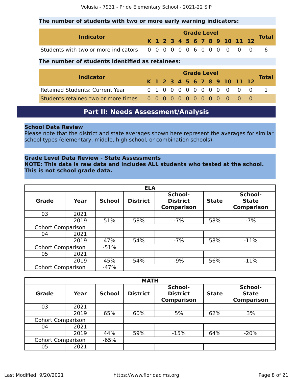#### **The number of students with two or more early warning indicators:**

| <b>Indicator</b> |  |  |  | <b>Grade Level</b> |  |  |                              |              |
|------------------|--|--|--|--------------------|--|--|------------------------------|--------------|
|                  |  |  |  |                    |  |  | K 1 2 3 4 5 6 7 8 9 10 11 12 | <b>Total</b> |
|                  |  |  |  |                    |  |  |                              |              |

#### **The number of students identified as retainees:**

| <b>Indicator</b>                       | <b>Grade Level</b> |  |  |  |  |  |  |  |  |  |               |  |                              |              |  |
|----------------------------------------|--------------------|--|--|--|--|--|--|--|--|--|---------------|--|------------------------------|--------------|--|
|                                        |                    |  |  |  |  |  |  |  |  |  |               |  | K 1 2 3 4 5 6 7 8 9 10 11 12 | <b>Total</b> |  |
| <b>Retained Students: Current Year</b> |                    |  |  |  |  |  |  |  |  |  | 0100000000000 |  |                              |              |  |
|                                        |                    |  |  |  |  |  |  |  |  |  |               |  |                              |              |  |

# **Part II: Needs Assessment/Analysis**

#### <span id="page-7-0"></span>**School Data Review**

Please note that the district and state averages shown here represent the averages for similar school types (elementary, middle, high school, or combination schools).

#### **Grade Level Data Review - State Assessments**

**NOTE: This data is raw data and includes ALL students who tested at the school. This is not school grade data.**

|                          | <b>ELA</b> |               |                                                                                    |       |                                              |        |  |  |  |  |
|--------------------------|------------|---------------|------------------------------------------------------------------------------------|-------|----------------------------------------------|--------|--|--|--|--|
| Grade                    | Year       | <b>School</b> | School-<br><b>District</b><br><b>District</b><br><b>State</b><br><b>Comparison</b> |       | School-<br><b>State</b><br><b>Comparison</b> |        |  |  |  |  |
| 03                       | 2021       |               |                                                                                    |       |                                              |        |  |  |  |  |
|                          | 2019       | 51%           | 58%                                                                                | $-7%$ | 58%                                          | $-7%$  |  |  |  |  |
| <b>Cohort Comparison</b> |            |               |                                                                                    |       |                                              |        |  |  |  |  |
| 04                       | 2021       |               |                                                                                    |       |                                              |        |  |  |  |  |
|                          | 2019       | 47%           | 54%                                                                                | $-7%$ | 58%                                          | $-11%$ |  |  |  |  |
| <b>Cohort Comparison</b> |            | $-51%$        |                                                                                    |       |                                              |        |  |  |  |  |
| 05                       | 2021       |               |                                                                                    |       |                                              |        |  |  |  |  |
|                          | 2019       | 45%           | 54%                                                                                | $-9%$ | 56%                                          | $-11%$ |  |  |  |  |
| <b>Cohort Comparison</b> |            | $-47%$        |                                                                                    |       |                                              |        |  |  |  |  |

|                          | <b>MATH</b> |               |                 |                                                 |              |                                              |  |  |  |  |
|--------------------------|-------------|---------------|-----------------|-------------------------------------------------|--------------|----------------------------------------------|--|--|--|--|
| Grade                    | Year        | <b>School</b> | <b>District</b> | School-<br><b>District</b><br><b>Comparison</b> | <b>State</b> | School-<br><b>State</b><br><b>Comparison</b> |  |  |  |  |
| 03                       | 2021        |               |                 |                                                 |              |                                              |  |  |  |  |
|                          | 2019        | 65%           | 60%             | 5%                                              | 62%          | 3%                                           |  |  |  |  |
| <b>Cohort Comparison</b> |             |               |                 |                                                 |              |                                              |  |  |  |  |
| 04                       | 2021        |               |                 |                                                 |              |                                              |  |  |  |  |
|                          | 2019        | 44%           | 59%             | $-15%$                                          | 64%          | $-20%$                                       |  |  |  |  |
| <b>Cohort Comparison</b> |             | $-65%$        |                 |                                                 |              |                                              |  |  |  |  |
| 05                       | 2021        |               |                 |                                                 |              |                                              |  |  |  |  |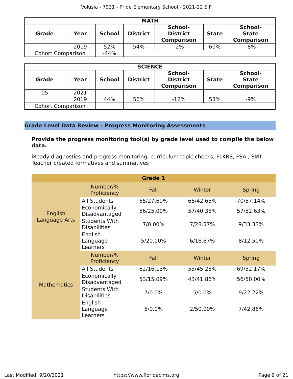|                          | <b>MATH</b>           |        |                 |                                                 |              |                                              |  |  |  |
|--------------------------|-----------------------|--------|-----------------|-------------------------------------------------|--------------|----------------------------------------------|--|--|--|
| <b>Grade</b>             | Year<br><b>School</b> |        | <b>District</b> | School-<br><b>District</b><br><b>Comparison</b> | <b>State</b> | School-<br><b>State</b><br><b>Comparison</b> |  |  |  |
|                          | 2019                  | 52%    | 54%             | $-2%$                                           | 60%          | $-8%$                                        |  |  |  |
| <b>Cohort Comparison</b> |                       | $-44%$ |                 |                                                 |              |                                              |  |  |  |

|                          | <b>SCIENCE</b> |               |                 |                                                 |              |                                              |  |  |  |  |
|--------------------------|----------------|---------------|-----------------|-------------------------------------------------|--------------|----------------------------------------------|--|--|--|--|
| <b>Grade</b>             | Year           | <b>School</b> | <b>District</b> | School-<br><b>District</b><br><b>Comparison</b> | <b>State</b> | School-<br><b>State</b><br><b>Comparison</b> |  |  |  |  |
| 05                       | 2021           |               |                 |                                                 |              |                                              |  |  |  |  |
|                          | 2019           | 44%           | 56%             | $-12%$                                          | 53%          | $-9%$                                        |  |  |  |  |
| <b>Cohort Comparison</b> |                |               |                 |                                                 |              |                                              |  |  |  |  |

#### **Grade Level Data Review - Progress Monitoring Assessments**

#### **Provide the progress monitoring tool(s) by grade level used to compile the below data.**

iReady diagnostics and progress monitoring, curriculum topic checks, FLKRS, FSA , SMT, Teacher created formatives and summatives

|                    |                                             | <b>Grade 1</b> |           |               |
|--------------------|---------------------------------------------|----------------|-----------|---------------|
|                    | Number/%<br>Proficiency                     | Fall           | Winter    | <b>Spring</b> |
|                    | <b>All Students</b>                         | 65/27.69%      | 68/42.65% | 70/57.14%     |
| English            | Economically<br>Disadvantaged               | 56/25.00%      | 57/40.35% | 57/52.63%     |
| Language Arts      | <b>Students With</b><br><b>Disabilities</b> | 7/0.00%        | 7/28.57%  | 9/33.33%      |
|                    | English<br>Language<br>Learners             | 5/20.00%       | 6/16.67%  | 8/12.50%      |
|                    | Number/%<br>Proficiency                     | Fall           | Winter    | <b>Spring</b> |
|                    | <b>All Students</b>                         | 62/16.13%      | 53/45.28% | 69/52.17%     |
| <b>Mathematics</b> | Economically<br>Disadvantaged               | 53/15.09%      | 43/41.86% | 56/50.00%     |
|                    | <b>Students With</b><br><b>Disabilities</b> | 7/0.0%         | 5/0.0%    | 9/22.22%      |
|                    | English<br>Language<br>Learners             | 5/0.0%         | 2/50.00%  | 7/42.86%      |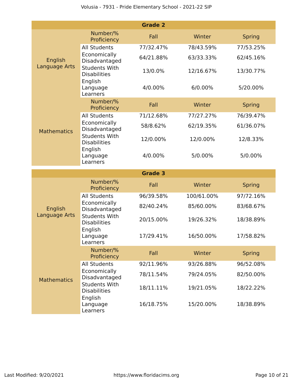|                    |                                                        | <b>Grade 2</b> |            |               |
|--------------------|--------------------------------------------------------|----------------|------------|---------------|
|                    | Number/%<br>Proficiency                                | Fall           | Winter     | <b>Spring</b> |
| English            | <b>All Students</b>                                    | 77/32.47%      | 78/43.59%  | 77/53.25%     |
|                    | Economically<br>Disadvantaged                          | 64/21.88%      | 63/33.33%  | 62/45.16%     |
| Language Arts      | <b>Students With</b><br><b>Disabilities</b>            | 13/0.0%        | 12/16.67%  | 13/30.77%     |
|                    | English<br>Language<br>Learners                        | 4/0.00%        | 6/0.00%    | 5/20.00%      |
|                    | Number/%<br>Proficiency                                | Fall           | Winter     | <b>Spring</b> |
|                    | <b>All Students</b>                                    | 71/12.68%      | 77/27.27%  | 76/39.47%     |
| <b>Mathematics</b> | Economically<br>Disadvantaged                          | 58/8.62%       | 62/19.35%  | 61/36.07%     |
|                    | <b>Students With</b><br><b>Disabilities</b>            | 12/0.00%       | 12/0.00%   | 12/8.33%      |
|                    | English<br>Language<br>Learners                        | 4/0.00%        | 5/0.00%    | 5/0.00%       |
|                    |                                                        |                |            |               |
|                    |                                                        | <b>Grade 3</b> |            |               |
|                    | Number/%<br>Proficiency                                | Fall           | Winter     | <b>Spring</b> |
|                    | <b>All Students</b>                                    | 96/39.58%      | 100/61.00% | 97/72.16%     |
| English            | Economically<br>Disadvantaged                          | 82/40.24%      | 85/60.00%  | 83/68.67%     |
| Language Arts      | <b>Students With</b><br><b>Disabilities</b>            | 20/15.00%      | 19/26.32%  | 18/38.89%     |
|                    | English<br>Language<br>Learners                        | 17/29.41%      | 16/50.00%  | 17/58.82%     |
|                    | Number/%<br>Proficiency                                | Fall           | Winter     | <b>Spring</b> |
|                    | <b>All Students</b>                                    | 92/11.96%      | 93/26.88%  | 96/52.08%     |
| <b>Mathematics</b> | Economically<br>Disadvantaged                          | 78/11.54%      | 79/24.05%  | 82/50.00%     |
|                    | <b>Students With</b><br><b>Disabilities</b><br>English | 18/11.11%      | 19/21.05%  | 18/22.22%     |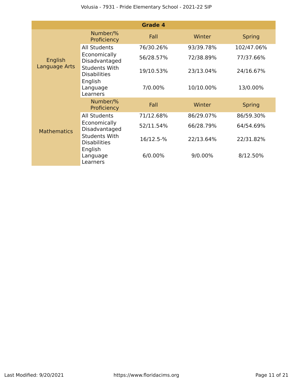|                          |                                                        | <b>Grade 4</b> |           |               |
|--------------------------|--------------------------------------------------------|----------------|-----------|---------------|
|                          | Number/%<br>Proficiency                                | Fall           | Winter    | <b>Spring</b> |
|                          | <b>All Students</b>                                    | 76/30.26%      | 93/39.78% | 102/47.06%    |
| English<br>Language Arts | Economically<br>Disadvantaged                          | 56/28.57%      | 72/38.89% | 77/37.66%     |
|                          | <b>Students With</b><br><b>Disabilities</b><br>English | 19/10.53%      | 23/13.04% | 24/16.67%     |
|                          | Language<br>Learners                                   | 7/0.00%        | 10/10.00% | 13/0.00%      |
|                          | Number/%<br>Proficiency                                | Fall           | Winter    | <b>Spring</b> |
|                          | <b>All Students</b>                                    | 71/12.68%      | 86/29.07% | 86/59.30%     |
| <b>Mathematics</b>       | Economically<br>Disadvantaged                          | 52/11.54%      | 66/28.79% | 64/54.69%     |
|                          | <b>Students With</b><br><b>Disabilities</b>            | 16/12.5-%      | 22/13.64% | 22/31.82%     |
|                          | English<br>Language<br>Learners                        | 6/0.00%        | 9/0.00%   | 8/12.50%      |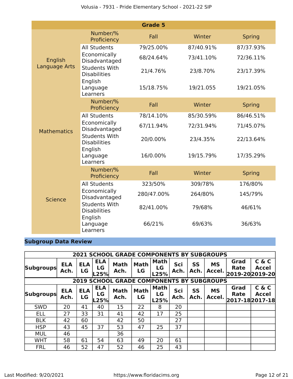|                    |                                             | <b>Grade 5</b> |           |               |
|--------------------|---------------------------------------------|----------------|-----------|---------------|
|                    | Number/%<br>Proficiency                     | Fall           | Winter    | <b>Spring</b> |
|                    | <b>All Students</b>                         | 79/25.00%      | 87/40.91% | 87/37.93%     |
| English            | Economically<br>Disadvantaged               | 68/24.64%      | 73/41.10% | 72/36.11%     |
| Language Arts      | <b>Students With</b><br><b>Disabilities</b> | 21/4.76%       | 23/8.70%  | 23/17.39%     |
|                    | English<br>Language<br>Learners             | 15/18.75%      | 19/21.055 | 19/21.05%     |
|                    | Number/%<br>Proficiency                     | Fall           | Winter    | <b>Spring</b> |
|                    | <b>All Students</b>                         | 78/14.10%      | 85/30.59% | 86/46.51%     |
| <b>Mathematics</b> | Economically<br>Disadvantaged               | 67/11.94%      | 72/31.94% | 71/45.07%     |
|                    | <b>Students With</b><br><b>Disabilities</b> | 20/0.00%       | 23/4.35%  | 22/13.64%     |
|                    | English<br>Language<br>Learners             | 16/0.00%       | 19/15.79% | 17/35.29%     |
|                    | Number/%<br>Proficiency                     | Fall           | Winter    | <b>Spring</b> |
|                    | <b>All Students</b>                         | 323/50%        | 309/78%   | 176/80%       |
| <b>Science</b>     | Economically<br>Disadvantaged               | 280/47.00%     | 264/80%   | 145/79%       |
|                    | <b>Students With</b><br><b>Disabilities</b> | 82/41.00%      | 79/68%    | 46/61%        |
|                    | English<br>Language<br>Learners             | 66/21%         | 69/63%    | 36/63%        |

# **Subgroup Data Review**

|                  |                    |                         |                            | <b>2021 SCHOOL GRADE COMPONENTS BY SUBGROUPS</b> |                   |                           |             |                   |                     |                                        |                       |
|------------------|--------------------|-------------------------|----------------------------|--------------------------------------------------|-------------------|---------------------------|-------------|-------------------|---------------------|----------------------------------------|-----------------------|
| <b>Subgroups</b> | <b>ELA</b><br>Ach. | <b>ELA</b><br><b>LG</b> | <b>ELA</b><br>LG<br>25%    | <b>Math</b><br>Ach.                              | <b>Math</b><br>LG | Math<br>LG<br>L25%        | Sci<br>Ach. | <b>SS</b><br>Ach. | <b>MS</b><br>Accel. | Grad<br><b>Rate</b><br>2019-20 2019-20 | C & C<br><b>Accel</b> |
|                  |                    |                         |                            | <b>2019 SCHOOL GRADE COMPONENTS BY SUBGROUPS</b> |                   |                           |             |                   |                     |                                        |                       |
| <b>Subgroups</b> | <b>ELA</b><br>Ach. | <b>ELA</b><br>LG        | <b>ELA</b><br>LG<br>$-25%$ | <b>Math</b><br>Ach.                              | <b>Math</b><br>LG | <b>Math</b><br>LG<br>L25% | Sci<br>Ach. | <b>SS</b><br>Ach. | <b>MS</b><br>Accel. | Grad<br><b>Rate</b><br>2017-18 2017-18 | C & C<br><b>Accel</b> |
| <b>SWD</b>       | 20                 | 41                      | 40                         | 15                                               | 22                | 8                         | 20          |                   |                     |                                        |                       |
| <b>ELL</b>       | 27                 | 33                      | 31                         | 41                                               | 42                | 17                        | 25          |                   |                     |                                        |                       |
| <b>BLK</b>       | 42                 | 60                      |                            | 42                                               | 50                |                           | 27          |                   |                     |                                        |                       |
| <b>HSP</b>       | 43                 | 45                      | 37                         | 53                                               | 47                | 25                        | 37          |                   |                     |                                        |                       |
| <b>MUL</b>       | 46                 |                         |                            | 36                                               |                   |                           |             |                   |                     |                                        |                       |
| <b>WHT</b>       | 58                 | 61                      | 54                         | 63                                               | 49                | 20                        | 61          |                   |                     |                                        |                       |
| <b>FRL</b>       | 46                 | 52                      | 47                         | 52                                               | 46                | 25                        | 43          |                   |                     |                                        |                       |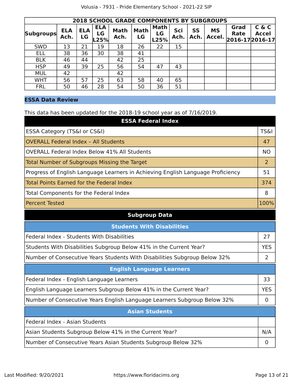|                  | <b>2018 SCHOOL GRADE COMPONENTS BY SUBGROUPS</b> |                  |                          |                     |                   |                           |             |            |                     |                                     |                       |
|------------------|--------------------------------------------------|------------------|--------------------------|---------------------|-------------------|---------------------------|-------------|------------|---------------------|-------------------------------------|-----------------------|
| <b>Subgroups</b> | <b>ELA</b><br>Ach.                               | <b>ELA</b><br>LG | <b>ELA</b><br>LG<br>L25% | <b>Math</b><br>Ach. | <b>Math</b><br>LG | <b>Math</b><br>LG<br>L25% | Sci<br>Ach. | SS<br>Ach. | <b>MS</b><br>Accel. | Grad<br>Rate<br>$ 2016-17 2016-17 $ | C & C<br><b>Accel</b> |
| <b>SWD</b>       | 13                                               | 21               | 19                       | 18                  | 26                | 22                        | 15          |            |                     |                                     |                       |
| <b>ELL</b>       | 38                                               | 36               | 30                       | 38                  | 41                |                           |             |            |                     |                                     |                       |
| <b>BLK</b>       | 46                                               | 44               |                          | 42                  | 25                |                           |             |            |                     |                                     |                       |
| <b>HSP</b>       | 49                                               | 39               | 25                       | 56                  | 54                | 47                        | 43          |            |                     |                                     |                       |
| <b>MUL</b>       | 42                                               |                  |                          | 42                  |                   |                           |             |            |                     |                                     |                       |
| <b>WHT</b>       | 56                                               | 57               | 25                       | 63                  | 58                | 40                        | 65          |            |                     |                                     |                       |
| <b>FRL</b>       | 50                                               | 46               | 28                       | 54                  | 50                | 36                        | 51          |            |                     |                                     |                       |

### **ESSA Data Review**

This data has been updated for the 2018-19 school year as of 7/16/2019.

| <b>ESSA Federal Index</b>                                                       |                 |
|---------------------------------------------------------------------------------|-----------------|
| ESSA Category (TS&I or CS&I)                                                    | <b>TS&amp;I</b> |
| <b>OVERALL Federal Index - All Students</b>                                     | 47              |
| <b>OVERALL Federal Index Below 41% All Students</b>                             | <b>NO</b>       |
| Total Number of Subgroups Missing the Target                                    | $\overline{2}$  |
| Progress of English Language Learners in Achieving English Language Proficiency | 51              |
| Total Points Earned for the Federal Index                                       | 374             |
| Total Components for the Federal Index                                          | 8               |
| <b>Percent Tested</b>                                                           | 100%            |

# **Subgroup Data**

| <b>Students With Disabilities</b>                                         |            |
|---------------------------------------------------------------------------|------------|
| Federal Index - Students With Disabilities                                | 27         |
| Students With Disabilities Subgroup Below 41% in the Current Year?        | <b>YES</b> |
| Number of Consecutive Years Students With Disabilities Subgroup Below 32% | 2          |
| <b>English Language Learners</b>                                          |            |
| Federal Index - English Language Learners                                 | 33         |
| English Language Learners Subgroup Below 41% in the Current Year?         | <b>YES</b> |
| Number of Consecutive Years English Language Learners Subgroup Below 32%  | $\Omega$   |
| <b>Asian Students</b>                                                     |            |
| Federal Index - Asian Students                                            |            |
| Asian Students Subgroup Below 41% in the Current Year?                    | N/A        |
| Number of Consecutive Years Asian Students Subgroup Below 32%             | O          |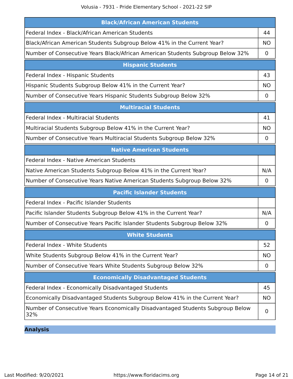Volusia - 7931 - Pride Elementary School - 2021-22 SIP

| <b>Black/African American Students</b>                                                |             |  |
|---------------------------------------------------------------------------------------|-------------|--|
| Federal Index - Black/African American Students                                       |             |  |
| Black/African American Students Subgroup Below 41% in the Current Year?               |             |  |
| Number of Consecutive Years Black/African American Students Subgroup Below 32%        | 0           |  |
| <b>Hispanic Students</b>                                                              |             |  |
| Federal Index - Hispanic Students                                                     | 43          |  |
| Hispanic Students Subgroup Below 41% in the Current Year?                             | <b>NO</b>   |  |
| Number of Consecutive Years Hispanic Students Subgroup Below 32%                      | $\mathbf 0$ |  |
| <b>Multiracial Students</b>                                                           |             |  |
| Federal Index - Multiracial Students                                                  | 41          |  |
| Multiracial Students Subgroup Below 41% in the Current Year?                          | <b>NO</b>   |  |
| Number of Consecutive Years Multiracial Students Subgroup Below 32%                   | 0           |  |
| <b>Native American Students</b>                                                       |             |  |
| Federal Index - Native American Students                                              |             |  |
| Native American Students Subgroup Below 41% in the Current Year?                      | N/A         |  |
| Number of Consecutive Years Native American Students Subgroup Below 32%               | $\mathbf 0$ |  |
| <b>Pacific Islander Students</b>                                                      |             |  |
| Federal Index - Pacific Islander Students                                             |             |  |
| Pacific Islander Students Subgroup Below 41% in the Current Year?                     | N/A         |  |
| Number of Consecutive Years Pacific Islander Students Subgroup Below 32%              | 0           |  |
| <b>White Students</b>                                                                 |             |  |
| Federal Index - White Students                                                        | 52          |  |
| White Students Subgroup Below 41% in the Current Year?                                | <b>NO</b>   |  |
| Number of Consecutive Years White Students Subgroup Below 32%                         | $\mathbf 0$ |  |
| <b>Economically Disadvantaged Students</b>                                            |             |  |
| Federal Index - Economically Disadvantaged Students                                   | 45          |  |
| Economically Disadvantaged Students Subgroup Below 41% in the Current Year?           | <b>NO</b>   |  |
| Number of Consecutive Years Economically Disadvantaged Students Subgroup Below<br>32% | $\mathbf 0$ |  |

**Analysis**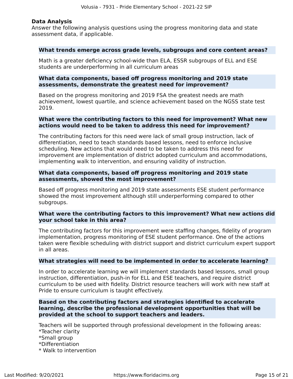#### **Data Analysis**

Answer the following analysis questions using the progress monitoring data and state assessment data, if applicable.

#### **What trends emerge across grade levels, subgroups and core content areas?**

Math is a greater deficiency school-wide than ELA, ESSR subgroups of ELL and ESE students are underperforming in all curriculum areas

#### **What data components, based off progress monitoring and 2019 state assessments, demonstrate the greatest need for improvement?**

Based on the progress monitoring and 2019 FSA the greatest needs are math achievement, lowest quartile, and science achievement based on the NGSS state test 2019.

#### **What were the contributing factors to this need for improvement? What new actions would need to be taken to address this need for improvement?**

The contributing factors for this need were lack of small group instruction, lack of differentiation, need to teach standards based lessons, need to enforce inclusive scheduling. New actions that would need to be taken to address this need for improvement are implementation of district adopted curriculum and accommodations, implementing walk to intervention, and ensuring validity of instruction.

#### **What data components, based off progress monitoring and 2019 state assessments, showed the most improvement?**

Based off progress monitoring and 2019 state assessments ESE student performance showed the most improvement although still underperforming compared to other subgroups.

#### **What were the contributing factors to this improvement? What new actions did your school take in this area?**

The contributing factors for this improvement were staffing changes, fidelity of program implementation, progress monitoring of ESE student performance. One of the actions taken were flexible scheduling with district support and district curriculum expert support in all areas.

#### **What strategies will need to be implemented in order to accelerate learning?**

In order to accelerate learning we will implement standards based lessons, small group instruction, differentiation, push-in for ELL and ESE teachers, and require district curriculum to be used with fidelity. District resource teachers will work with new staff at Pride to ensure curriculum is taught effectively.

#### **Based on the contributing factors and strategies identified to accelerate learning, describe the professional development opportunities that will be provided at the school to support teachers and leaders.**

Teachers will be supported through professional development in the following areas: \*Teacher clarity

- \*Small group
- \*Differentiation
- \* Walk to intervention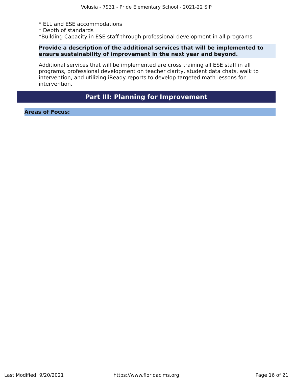- \* ELL and ESE accommodations
- \* Depth of standards

\*Building Capacity in ESE staff through professional development in all programs

#### **Provide a description of the additional services that will be implemented to ensure sustainability of improvement in the next year and beyond.**

Additional services that will be implemented are cross training all ESE staff in all programs, professional development on teacher clarity, student data chats, walk to intervention, and utilizing iReady reports to develop targeted math lessons for intervention.

# **Part III: Planning for Improvement**

<span id="page-15-0"></span>**Areas of Focus:**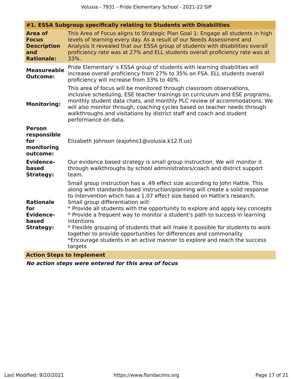| #1. ESSA Subgroup specifically relating to Students with Disabilities            |                                                                                                                                                                                                                                                                                                                                                                                                                                                                                                                                                                                                                                                                                                            |  |  |  |
|----------------------------------------------------------------------------------|------------------------------------------------------------------------------------------------------------------------------------------------------------------------------------------------------------------------------------------------------------------------------------------------------------------------------------------------------------------------------------------------------------------------------------------------------------------------------------------------------------------------------------------------------------------------------------------------------------------------------------------------------------------------------------------------------------|--|--|--|
| <b>Area of</b><br><b>Focus</b><br><b>Description</b><br>and<br><b>Rationale:</b> | This Area of Focus aligns to Strategic Plan Goal 1: Engage all students in high<br>levels of learning every day. As a result of our Needs Assessment and<br>Analysis it revealed that our ESSA group of students with disabilities overall<br>proficiency rate was at 27% and ELL students overall proficiency rate was at<br>33%.                                                                                                                                                                                                                                                                                                                                                                         |  |  |  |
| <b>Measureable</b><br><b>Outcome:</b>                                            | Pride Elementary's ESSA group of students with learning disabilities will<br>increase overall proficiency from 27% to 35% on FSA. ELL students overall<br>proficiency will increase from 33% to 40%.                                                                                                                                                                                                                                                                                                                                                                                                                                                                                                       |  |  |  |
| <b>Monitoring:</b>                                                               | This area of focus will be monitored through classroom observations,<br>inclusive scheduling, ESE teacher trainings on curriculum and ESE programs,<br>monthly student data chats, and monthly PLC review of accommodations. We<br>will also monitor through, coaching cycles based on teacher needs through<br>walkthroughs and visitations by district staff and coach and student<br>performance on data.                                                                                                                                                                                                                                                                                               |  |  |  |
| <b>Person</b><br>responsible<br>for<br>monitoring<br>outcome:                    | Elizabeth Johnson (eajohns1@volusia.k12.fl.us)                                                                                                                                                                                                                                                                                                                                                                                                                                                                                                                                                                                                                                                             |  |  |  |
| <b>Evidence-</b><br>based<br><b>Strategy:</b>                                    | Our evidence based strategy is small group instruction. We will monitor it<br>through walkthroughs by school administrators/coach and district support<br>team.                                                                                                                                                                                                                                                                                                                                                                                                                                                                                                                                            |  |  |  |
| <b>Rationale</b><br>for<br><b>Evidence-</b><br>based<br><b>Strategy:</b>         | Small group instruction has a .49 effect size according to John Hattie. This<br>along with standards-based instruction/planning will create a solid response<br>to intervention which has a 1.07 effect size based on Hattie's research.<br>Small group differentiation will:<br>* Provide all students with the opportunity to explore and apply key concepts<br>* Provide a frequent way to monitor a student's path to success in learning<br>intentions<br>* Flexible grouping of students that will make it possible for students to work<br>together to provide opportunities for differences and commonality<br>*Encourage students in an active manner to explore and reach the success<br>targets |  |  |  |
| <b><i>CALL CALL CALL</i></b>                                                     | and the control of the control of the first                                                                                                                                                                                                                                                                                                                                                                                                                                                                                                                                                                                                                                                                |  |  |  |

**Action Steps to Implement**

**No action steps were entered for this area of focus**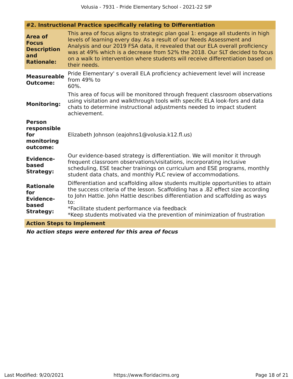| #2. Instructional Practice specifically relating to Differentiation              |                                                                                                                                                                                                                                                                                                                                                                                                                          |  |  |  |  |
|----------------------------------------------------------------------------------|--------------------------------------------------------------------------------------------------------------------------------------------------------------------------------------------------------------------------------------------------------------------------------------------------------------------------------------------------------------------------------------------------------------------------|--|--|--|--|
| <b>Area of</b><br><b>Focus</b><br><b>Description</b><br>and<br><b>Rationale:</b> | This area of focus aligns to strategic plan goal 1: engage all students in high<br>levels of learning every day. As a result of our Needs Assessment and<br>Analysis and our 2019 FSA data, it revealed that our ELA overall proficiency<br>was at 49% which is a decrease from 52% the 2018. Our SLT decided to focus<br>on a walk to intervention where students will receive differentiation based on<br>their needs. |  |  |  |  |
| <b>Measureable</b><br><b>Outcome:</b>                                            | Pride Elementary's overall ELA proficiency achievement level will increase<br>from 49% to<br>60%.                                                                                                                                                                                                                                                                                                                        |  |  |  |  |
| <b>Monitoring:</b>                                                               | This area of focus will be monitored through frequent classroom observations<br>using visitation and walkthrough tools with specific ELA look-fors and data<br>chats to determine instructional adjustments needed to impact student<br>achievement.                                                                                                                                                                     |  |  |  |  |
| <b>Person</b><br>responsible<br>for<br>monitoring<br>outcome:                    | Elizabeth Johnson (eajohns1@volusia.k12.fl.us)                                                                                                                                                                                                                                                                                                                                                                           |  |  |  |  |
| <b>Evidence-</b><br>based<br><b>Strategy:</b>                                    | Our evidence-based strategy is differentiation. We will monitor it through<br>frequent classroom observations/visitations, incorporating inclusive<br>scheduling, ESE teacher trainings on curriculum and ESE programs, monthly<br>student data chats, and monthly PLC review of accommodations.                                                                                                                         |  |  |  |  |
| <b>Rationale</b><br>for<br><b>Evidence-</b><br>based<br><b>Strategy:</b>         | Differentiation and scaffolding allow students multiple opportunities to attain<br>the success criteria of the lesson. Scaffolding has a .82 effect size according<br>to John Hattie. John Hattie describes differentiation and scaffolding as ways<br>to:<br>*Facilitate student performance via feedback<br>*Keep students motivated via the prevention of minimization of frustration                                 |  |  |  |  |
|                                                                                  | <b>Action Steps to Implement</b>                                                                                                                                                                                                                                                                                                                                                                                         |  |  |  |  |

**No action steps were entered for this area of focus**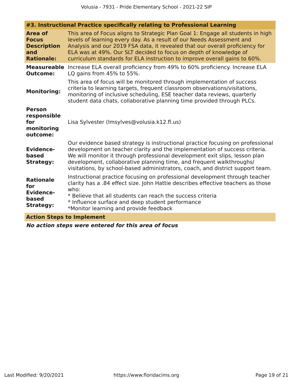| #3. Instructional Practice specifically relating to Professional Learning        |                                                                                                                                                                                                                                                                                                                                                                                                       |  |  |  |
|----------------------------------------------------------------------------------|-------------------------------------------------------------------------------------------------------------------------------------------------------------------------------------------------------------------------------------------------------------------------------------------------------------------------------------------------------------------------------------------------------|--|--|--|
| <b>Area of</b><br><b>Focus</b><br><b>Description</b><br>and<br><b>Rationale:</b> | This area of Focus aligns to Strategic Plan Goal 1: Engage all students in high<br>levels of learning every day. As a result of our Needs Assessment and<br>Analysis and our 2019 FSA data, it revealed that our overall proficiency for<br>ELA was at 49%. Our SLT decided to focus on depth of knowledge of<br>curriculum standards for ELA instruction to improve overall gains to 60%.            |  |  |  |
| <b>Measureable</b><br><b>Outcome:</b>                                            | Increase ELA overall proficiency from 49% to 60% proficiency. Increase ELA<br>LQ gains from 45% to 55%.                                                                                                                                                                                                                                                                                               |  |  |  |
| <b>Monitoring:</b>                                                               | This area of focus will be monitored through implementation of success<br>criteria to learning targets, frequent classroom observations/visitations,<br>monitoring of inclusive scheduling, ESE teacher data reviews, quarterly<br>student data chats, collaborative planning time provided through PLCs.                                                                                             |  |  |  |
| <b>Person</b><br>responsible<br>for<br>monitoring<br>outcome:                    | Lisa Sylvester (Imsylves@volusia.k12.fl.us)                                                                                                                                                                                                                                                                                                                                                           |  |  |  |
| <b>Evidence-</b><br>based<br><b>Strategy:</b>                                    | Our evidence based strategy is instructional practice focusing on professional<br>development on teacher clarity and the implementation of success criteria.<br>We will monitor it through professional development exit slips, lesson plan<br>development, collaborative planning time, and frequent walkthroughs/<br>visitations, by school-based administrators, coach, and district support team. |  |  |  |
| <b>Rationale</b><br>for<br><b>Evidence-</b><br>based<br><b>Strategy:</b>         | Instructional practice focusing on professional development through teacher<br>clarity has a .84 effect size. John Hattie describes effective teachers as those<br>who:<br>* Believe that all students can reach the success criteria<br>* Influence surface and deep student performance<br>*Monitor learning and provide feedback                                                                   |  |  |  |
| <b>Action Steps to Implement</b>                                                 |                                                                                                                                                                                                                                                                                                                                                                                                       |  |  |  |

**No action steps were entered for this area of focus**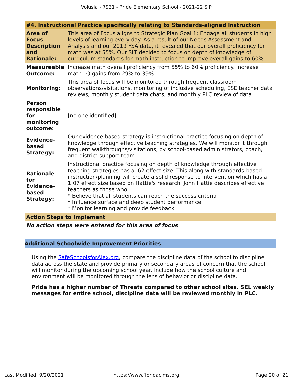| #4. Instructional Practice specifically relating to Standards-aligned Instruction |                                                                                                                                                                                                                                                                                                                                                                                                                                                                                                               |  |  |  |
|-----------------------------------------------------------------------------------|---------------------------------------------------------------------------------------------------------------------------------------------------------------------------------------------------------------------------------------------------------------------------------------------------------------------------------------------------------------------------------------------------------------------------------------------------------------------------------------------------------------|--|--|--|
| <b>Area of</b><br><b>Focus</b><br><b>Description</b><br>and<br><b>Rationale:</b>  | This area of Focus aligns to Strategic Plan Goal 1: Engage all students in high<br>levels of learning every day. As a result of our Needs Assessment and<br>Analysis and our 2019 FSA data, it revealed that our overall proficiency for<br>math was at 55%. Our SLT decided to focus on depth of knowledge of<br>curriculum standards for math instruction to improve overall gains to 60%.                                                                                                                  |  |  |  |
| <b>Measureable</b><br><b>Outcome:</b>                                             | Increase math overall proficiency from 55% to 60% proficiency. Increase<br>math LQ gains from 29% to 39%.                                                                                                                                                                                                                                                                                                                                                                                                     |  |  |  |
| <b>Monitoring:</b>                                                                | This area of focus will be monitored through frequent classroom<br>observations/visitations, monitoring of inclusive scheduling, ESE teacher data<br>reviews, monthly student data chats, and monthly PLC review of data.                                                                                                                                                                                                                                                                                     |  |  |  |
| <b>Person</b><br>responsible<br>for<br>monitoring<br>outcome:                     | [no one identified]                                                                                                                                                                                                                                                                                                                                                                                                                                                                                           |  |  |  |
| <b>Evidence-</b><br>based<br><b>Strategy:</b>                                     | Our evidence-based strategy is instructional practice focusing on depth of<br>knowledge through effective teaching strategies. We will monitor it through<br>frequent walkthroughs/visitations, by school-based administrators, coach,<br>and district support team.                                                                                                                                                                                                                                          |  |  |  |
| <b>Rationale</b><br>for<br><b>Evidence-</b><br>based<br><b>Strategy:</b>          | Instructional practice focusing on depth of knowledge through effective<br>teaching strategies has a .62 effect size. This along with standards-based<br>instruction/planning will create a solid response to intervention which has a<br>1.07 effect size based on Hattie's research. John Hattie describes effective<br>teachers as those who:<br>* Believe that all students can reach the success criteria<br>* Influence surface and deep student performance<br>* Monitor learning and provide feedback |  |  |  |

#### **Action Steps to Implement**

**No action steps were entered for this area of focus**

#### **Additional Schoolwide Improvement Priorities**

Using the [SafeSchoolsforAlex.org,](https://www.safeschoolsforalex.org/fl-school-safety-dashboard/) compare the discipline data of the school to discipline data across the state and provide primary or secondary areas of concern that the school will monitor during the upcoming school year. Include how the school culture and environment will be monitored through the lens of behavior or discipline data.

#### **Pride has a higher number of Threats compared to other school sites. SEL weekly messages for entire school, discipline data will be reviewed monthly in PLC.**